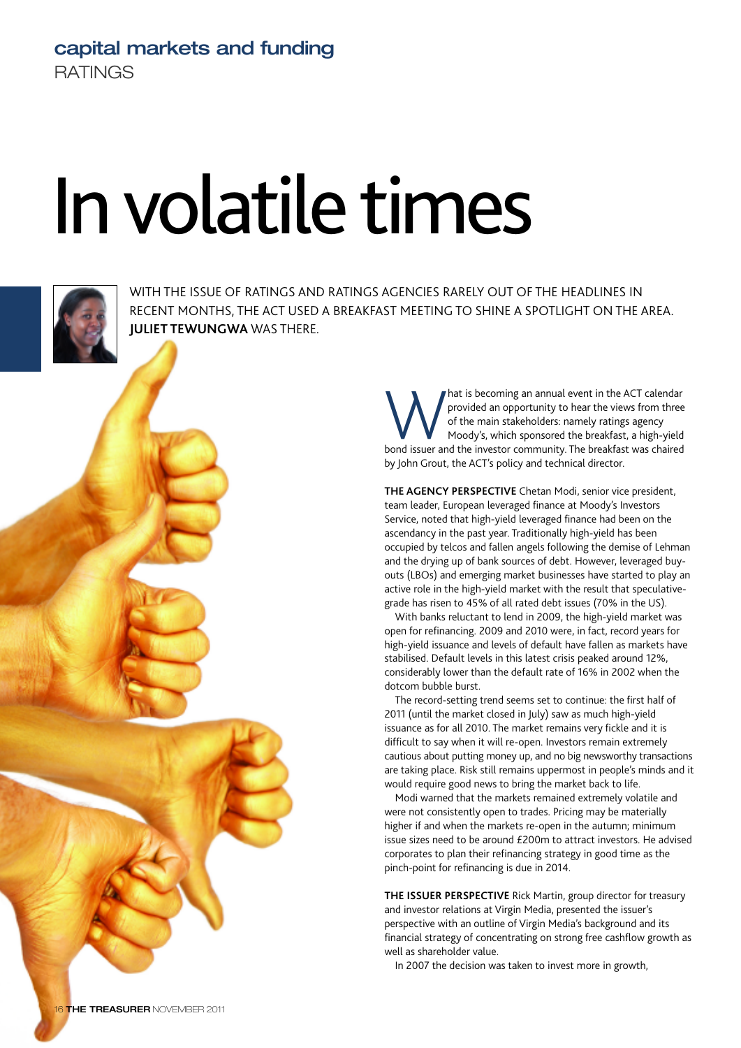## **capital markets and funding RATINGS**

## In volatile times



WITH THE ISSUE OF RATINGS AND RATINGS AGENCIES RARELY OUT OF THE HEADLINES IN RECENT MONTHS, THE ACT USED A BREAKFAST MEETING TO SHINE A SPOTLIGHT ON THE AREA. **JULIET TEWUNGWA** WAS THERE.

> Mat is becoming an annual event in the ACT calendar<br>provided an opportunity to hear the views from three<br>of the main stakeholders: namely ratings agency<br>bond issuer and the investor community. The breakfast was chaired provided an opportunity to hear the views from three of the main stakeholders: namely ratings agency Moody's, which sponsored the breakfast, a high-yield by John Grout, the ACT's policy and technical director.

**THE AGENCY PERSPECTIVE** Chetan Modi, senior vice president, team leader, European leveraged finance at Moody's Investors Service, noted that high-yield leveraged finance had been on the ascendancy in the past year. Traditionally high-yield has been occupied by telcos and fallen angels following the demise of Lehman and the drying up of bank sources of debt. However, leveraged buyouts (LBOs) and emerging market businesses have started to play an active role in the high-yield market with the result that speculativegrade has risen to 45% of all rated debt issues (70% in the US).

With banks reluctant to lend in 2009, the high-yield market was open for refinancing. 2009 and 2010 were, in fact, record years for high-yield issuance and levels of default have fallen as markets have stabilised. Default levels in this latest crisis peaked around 12%, considerably lower than the default rate of 16% in 2002 when the dotcom bubble burst.

The record-setting trend seems set to continue: the first half of 2011 (until the market closed in July) saw as much high-yield issuance as for all 2010. The market remains very fickle and it is difficult to say when it will re-open. Investors remain extremely cautious about putting money up, and no big newsworthy transactions are taking place. Risk still remains uppermost in people's minds and it would require good news to bring the market back to life.

Modi warned that the markets remained extremely volatile and were not consistently open to trades. Pricing may be materially higher if and when the markets re-open in the autumn; minimum issue sizes need to be around £200m to attract investors. He advised corporates to plan their refinancing strategy in good time as the pinch-point for refinancing is due in 2014.

**THE ISSUER PERSPECTIVE** Rick Martin, group director for treasury and investor relations at Virgin Media, presented the issuer's perspective with an outline of Virgin Media's background and its financial strategy of concentrating on strong free cashflow growth as well as shareholder value.

In 2007 the decision was taken to invest more in growth,